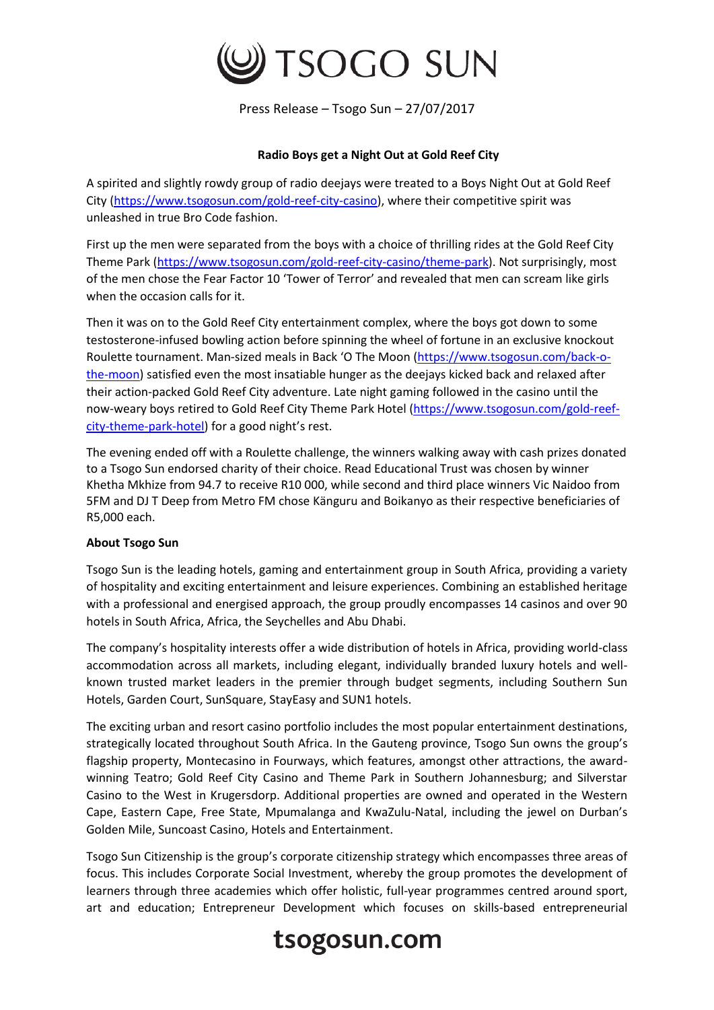

Press Release – Tsogo Sun – 27/07/2017

## **Radio Boys get a Night Out at Gold Reef City**

A spirited and slightly rowdy group of radio deejays were treated to a Boys Night Out at Gold Reef City [\(https://www.tsogosun.com/gold-reef-city-casino\)](https://www.tsogosun.com/gold-reef-city-casino), where their competitive spirit was unleashed in true Bro Code fashion.

First up the men were separated from the boys with a choice of thrilling rides at the Gold Reef City Theme Park [\(https://www.tsogosun.com/gold-reef-city-casino/theme-park\)](https://www.tsogosun.com/gold-reef-city-casino/theme-park). Not surprisingly, most of the men chose the Fear Factor 10 'Tower of Terror' and revealed that men can scream like girls when the occasion calls for it.

Then it was on to the Gold Reef City entertainment complex, where the boys got down to some testosterone-infused bowling action before spinning the wheel of fortune in an exclusive knockout Roulette tournament. Man-sized meals in Back 'O The Moon [\(https://www.tsogosun.com/back-o](https://www.tsogosun.com/back-o-the-moon)[the-moon\)](https://www.tsogosun.com/back-o-the-moon) satisfied even the most insatiable hunger as the deejays kicked back and relaxed after their action-packed Gold Reef City adventure. Late night gaming followed in the casino until the now-weary boys retired to Gold Reef City Theme Park Hotel [\(https://www.tsogosun.com/gold-reef](https://www.tsogosun.com/gold-reef-city-theme-park-hotel)[city-theme-park-hotel\)](https://www.tsogosun.com/gold-reef-city-theme-park-hotel) for a good night's rest.

The evening ended off with a Roulette challenge, the winners walking away with cash prizes donated to a Tsogo Sun endorsed charity of their choice. Read Educational Trust was chosen by winner Khetha Mkhize from 94.7 to receive R10 000, while second and third place winners Vic Naidoo from 5FM and DJ T Deep from Metro FM chose Känguru and Boikanyo as their respective beneficiaries of R5,000 each.

## **About Tsogo Sun**

Tsogo Sun is the leading hotels, gaming and entertainment group in South Africa, providing a variety of hospitality and exciting entertainment and leisure experiences. Combining an established heritage with a professional and energised approach, the group proudly encompasses 14 casinos and over 90 hotels in South Africa, Africa, the Seychelles and Abu Dhabi.

The company's hospitality interests offer a wide distribution of hotels in Africa, providing world-class accommodation across all markets, including elegant, individually branded luxury hotels and wellknown trusted market leaders in the premier through budget segments, including Southern Sun Hotels, Garden Court, SunSquare, StayEasy and SUN1 hotels.

The exciting urban and resort casino portfolio includes the most popular entertainment destinations, strategically located throughout South Africa. In the Gauteng province, Tsogo Sun owns the group's flagship property, Montecasino in Fourways, which features, amongst other attractions, the awardwinning Teatro; Gold Reef City Casino and Theme Park in Southern Johannesburg; and Silverstar Casino to the West in Krugersdorp. Additional properties are owned and operated in the Western Cape, Eastern Cape, Free State, Mpumalanga and KwaZulu-Natal, including the jewel on Durban's Golden Mile, Suncoast Casino, Hotels and Entertainment.

Tsogo Sun Citizenship is the group's corporate citizenship strategy which encompasses three areas of focus. This includes Corporate Social Investment, whereby the group promotes the development of learners through three academies which offer holistic, full-year programmes centred around sport, art and education; Entrepreneur Development which focuses on skills-based entrepreneurial

## tsogosun.com